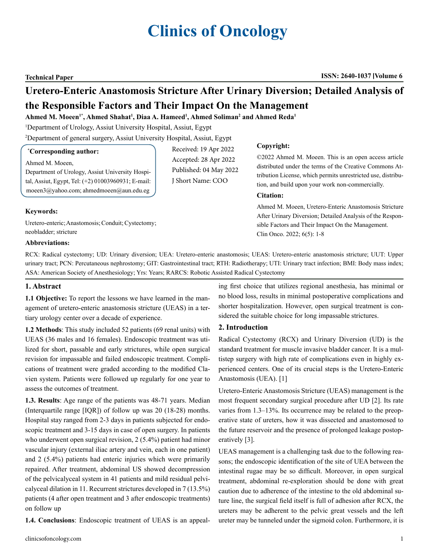# **Clinics of Oncology**

#### **Technical Paper ISSN: 2640-1037 Volume 6**

## **Uretero-Enteric Anastomosis Stricture After Urinary Diversion; Detailed Analysis of the Responsible Factors and Their Impact On the Management**

 $\bold{A}$ hmed M. Moeen<sup>1\*</sup>, Ahmed Shahat<sup>1</sup>, Diaa A. Hameed<sup>1</sup>, Ahmed Soliman<sup>2</sup> and Ahmed Reda<sup>1</sup>

1 Department of Urology, Assiut University Hospital, Assiut, Egypt

2 Department of general surgery, Assiut University Hospital, Assiut, Egypt

#### **\* Corresponding author:**

Ahmed M. Moeen,

Department of Urology, Assiut University Hospital, Assiut, Egypt, Tel: (+2) 01003960931; E-mail: moeen3@yahoo.com; ahmedmoeen@aun.edu.eg

Received: 19 Apr 2022 Accepted: 28 Apr 2022 Published: 04 May 2022 J Short Name: COO

#### **Copyright:**

©2022 Ahmed M. Moeen. This is an open access article distributed under the terms of the Creative Commons Attribution License, which permits unrestricted use, distribution, and build upon your work non-commercially.

#### **Citation:**

Ahmed M. Moeen, Uretero-Enteric Anastomosis Stricture After Urinary Diversion; Detailed Analysis of the Responsible Factors and Their Impact On the Management. Clin Onco. 2022; 6(5): 1-8

### **Keywords:**

Uretero-enteric; Anastomosis; Conduit; Cystectomy; neobladder; stricture

#### **Abbreviations:**

RCX: Radical cystectomy; UD: Urinary diversion; UEA: Uretero-enteric anastomosis; UEAS: Uretero-enteric anastomosis stricture; UUT: Upper urinary tract; PCN: Percutaneous nephrostomy; GIT: Gastrointestinal tract; RTH: Radiotherapy; UTI: Urinary tract infection; BMI: Body mass index; ASA: American Society of Anesthesiology; Yrs: Years; RARCS: Robotic Assisted Radical Cystectomy

#### **1. Abstract**

**1.1 Objective:** To report the lessons we have learned in the management of uretero-enteric anastomosis stricture (UEAS) in a tertiary urology center over a decade of experience.

**1.2 Methods**: This study included 52 patients (69 renal units) with UEAS (36 males and 16 females). Endoscopic treatment was utilized for short, passable and early strictures, while open surgical revision for impassable and failed endoscopic treatment. Complications of treatment were graded according to the modified Clavien system. Patients were followed up regularly for one year to assess the outcomes of treatment.

**1.3. Results**: Age range of the patients was 48-71 years. Median (Interquartile range [IQR]) of follow up was 20 (18-28) months. Hospital stay ranged from 2-3 days in patients subjected for endoscopic treatment and 3-15 days in case of open surgery. In patients who underwent open surgical revision, 2 (5.4%) patient had minor vascular injury (external iliac artery and vein, each in one patient) and 2 (5.4%) patients had enteric injuries which were primarily repaired. After treatment, abdominal US showed decompression of the pelvicalyceal system in 41 patients and mild residual pelvicalyceal dilation in 11. Recurrent strictures developed in 7 (13.5%) patients (4 after open treatment and 3 after endoscopic treatments) on follow up

**1.4. Conclusions**: Endoscopic treatment of UEAS is an appeal-

ing first choice that utilizes regional anesthesia, has minimal or no blood loss, results in minimal postoperative complications and shorter hospitalization. However, open surgical treatment is considered the suitable choice for long impassable strictures.

#### **2. Introduction**

Radical Cystectomy (RCX) and Urinary Diversion (UD) is the standard treatment for muscle invasive bladder cancer. It is a multistep surgery with high rate of complications even in highly experienced centers. One of its crucial steps is the Uretero-Enteric Anastomosis (UEA). [1]

Uretero-Enteric Anastomosis Stricture (UEAS) management is the most frequent secondary surgical procedure after UD [2]. Its rate varies from 1.3–13%. Its occurrence may be related to the preoperative state of ureters, how it was dissected and anastomosed to the future reservoir and the presence of prolonged leakage postoperatively [3].

UEAS management is a challenging task due to the following reasons; the endoscopic identification of the site of UEA between the intestinal rugae may be so difficult. Moreover, in open surgical treatment, abdominal re-exploration should be done with great caution due to adherence of the intestine to the old abdominal suture line, the surgical field itself is full of adhesion after RCX, the ureters may be adherent to the pelvic great vessels and the left ureter may be tunneled under the sigmoid colon. Furthermore, it is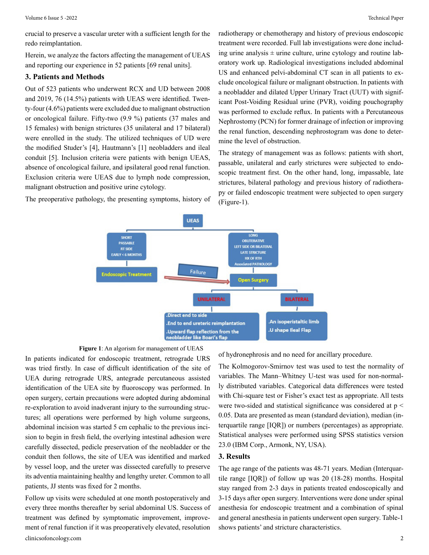crucial to preserve a vascular ureter with a sufficient length for the redo reimplantation.

Herein, we analyze the factors affecting the management of UEAS and reporting our experience in 52 patients [69 renal units].

#### **3. Patients and Methods**

Out of 523 patients who underwent RCX and UD between 2008 and 2019, 76 (14.5%) patients with UEAS were identified. Twenty-four (4.6%) patients were excluded due to malignant obstruction or oncological failure. Fifty-two (9.9 %) patients (37 males and 15 females) with benign strictures (35 unilateral and 17 bilateral) were enrolled in the study. The utilized techniques of UD were the modified Studer's [4], Hautmann's [1] neobladders and ileal conduit [5]. Inclusion criteria were patients with benign UEAS, absence of oncological failure, and ipsilateral good renal function. Exclusion criteria were UEAS due to lymph node compression, malignant obstruction and positive urine cytology.

The preoperative pathology, the presenting symptoms, history of

radiotherapy or chemotherapy and history of previous endoscopic treatment were recorded. Full lab investigations were done including urine analysis  $\pm$  urine culture, urine cytology and routine laboratory work up. Radiological investigations included abdominal US and enhanced pelvi-abdominal CT scan in all patients to exclude oncological failure or malignant obstruction. In patients with a neobladder and dilated Upper Urinary Tract (UUT) with significant Post-Voiding Residual urine (PVR), voiding pouchography was performed to exclude reflux. In patients with a Percutaneous Nephrostomy (PCN) for former drainage of infection or improving the renal function, descending nephrostogram was done to determine the level of obstruction.

The strategy of management was as follows: patients with short, passable, unilateral and early strictures were subjected to endoscopic treatment first. On the other hand, long, impassable, late strictures, bilateral pathology and previous history of radiotherapy or failed endoscopic treatment were subjected to open surgery (Figure-1).



**Figure 1**: An algorism for management of UEAS

In patients indicated for endoscopic treatment, retrograde URS was tried firstly. In case of difficult identification of the site of UEA during retrograde URS, antegrade percutaneous assisted identification of the UEA site by fluoroscopy was performed. In open surgery, certain precautions were adopted during abdominal re-exploration to avoid inadverant injury to the surrounding structures; all operations were performed by high volume surgeons, abdominal incision was started 5 cm cephalic to the previous incision to begin in fresh field, the overlying intestinal adhesion were carefully dissected, pedicle preservation of the neobladder or the conduit then follows, the site of UEA was identified and marked by vessel loop, and the ureter was dissected carefully to preserve its adventia maintaining healthy and lengthy ureter. Common to all patients, JJ stents was fixed for 2 months.

clinicsofoncology.com 2 Follow up visits were scheduled at one month postoperatively and every three months thereafter by serial abdominal US. Success of treatment was defined by symptomatic improvement, improvement of renal function if it was preoperatively elevated, resolution

of hydronephrosis and no need for ancillary procedure.

The Kolmogorov-Smirnov test was used to test the normality of variables. The Mann–Whitney U-test was used for non-normally distributed variables. Categorical data differences were tested with Chi-square test or Fisher's exact test as appropriate. All tests were two-sided and statistical significance was considered at p < 0.05. Data are presented as mean (standard deviation), median (interquartile range [IQR]) or numbers (percentages) as appropriate. Statistical analyses were performed using SPSS statistics version 23.0 (IBM Corp., Armonk, NY, USA).

#### **3. Results**

The age range of the patients was 48-71 years. Median (Interquartile range [IQR]) of follow up was 20 (18-28) months. Hospital stay ranged from 2-3 days in patients treated endoscopically and 3-15 days after open surgery. Interventions were done under spinal anesthesia for endoscopic treatment and a combination of spinal and general anesthesia in patients underwent open surgery. Table-1 shows patients' and stricture characteristics.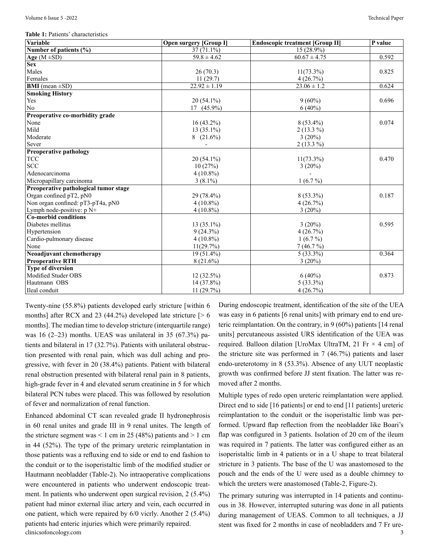**Table 1:** Patients' characteristics

| Variable                              | <b>Open surgery [Group I]</b> | <b>Endoscopic treatment [Group II]</b> | P value |
|---------------------------------------|-------------------------------|----------------------------------------|---------|
| Number of patients $(\% )$            | $37(71.1\%)$                  | $15(28.9\%)$                           |         |
| Age $(M \pm SD)$                      | $59.8 \pm 4.62$               | $60.67 \pm 4.75$                       | 0.592   |
| <b>Sex</b>                            |                               |                                        |         |
| Males                                 | 26(70.3)                      | $11(73.3\%)$                           | 0.825   |
| Females                               | 11(29.7)                      | 4(26.7%)                               |         |
| <b>BMI</b> (mean $\pm$ SD)            | $22.92 \pm 1.19$              | $23.06 \pm 1.2$                        | 0.624   |
| <b>Smoking History</b>                |                               |                                        |         |
| Yes                                   | 20 (54.1%)                    | $9(60\%)$                              | 0.696   |
| $\rm No$                              | $17(45.9\%)$                  | $6(40\%)$                              |         |
| Preoperative co-morbidity grade       |                               |                                        |         |
| None                                  | 16 (43.2%)                    | $8(53.4\%)$                            | 0.074   |
| Mild                                  | $13(35.1\%)$                  | $2(13.3\%)$                            |         |
| Moderate                              | $8(21.6\%)$                   | $3(20\%)$                              |         |
| Sever                                 |                               | $2(13.3\%)$                            |         |
| <b>Preoperative pathology</b>         |                               |                                        |         |
| <b>TCC</b>                            | $20(54.1\%)$                  | $11(73.3\%)$                           | 0.470   |
| <b>SCC</b>                            | 10(27%)                       | 3(20%)                                 |         |
| Adenocarcinoma                        | $4(10.8\%)$                   |                                        |         |
| Micropapillary carcinoma              | $3(8.1\%)$                    | $1(6.7\%)$                             |         |
| Preoperative pathological tumor stage |                               |                                        |         |
| Organ confined pT2, pN0               | 29 (78.4%)                    | $8(53.3\%)$                            | 0.187   |
| Non organ confined: pT3-pT4a, pN0     | $4(10.8\%)$                   | 4(26.7%)                               |         |
| Lymph node-positive: p N+             | $4(10.8\%)$                   | $3(20\%)$                              |         |
| Co-morbid conditions                  |                               |                                        |         |
| Diabetes mellitus                     | $13(35.1\%)$                  | $3(20\%)$                              | 0.595   |
| Hypertension                          | $9(24.3\%)$                   | 4(26.7%)                               |         |
| Cardio-pulmonary disease              | $4(10.8\%)$                   | $1(6.7\%)$                             |         |
| None                                  | 11(29.7%)                     | 7(46.7%)                               |         |
| Neoadjuvant chemotherapy              | $19(51.4\%)$                  | $5(33.3\%)$                            | 0.364   |
| <b>Preoperative RTH</b>               | 8(21.6%)                      | 3(20%)                                 |         |
| <b>Type of diversion</b>              |                               |                                        |         |
| Modified Studer OBS                   | $12(32.5\%)$                  | $6(40\%)$                              | 0.873   |
| Hautmann OBS                          | 14 (37.8%)                    | $5(33.3\%)$                            |         |
| Ileal conduit                         | 11(29.7%)                     | 4(26.7%)                               |         |

Twenty-nine (55.8%) patients developed early stricture [within 6 months] after RCX and 23 (44.2%) developed late stricture  $\lceil$  > 6 months]. The median time to develop stricture (interquartile range) was 16 (2–23) months. UEAS was unilateral in 35 (67.3%) patients and bilateral in 17 (32.7%). Patients with unilateral obstruction presented with renal pain, which was dull aching and progressive, with fever in 20 (38.4%) patients. Patient with bilateral renal obstruction presented with bilateral renal pain in 8 patients, high-grade fever in 4 and elevated serum creatinine in 5 for which bilateral PCN tubes were placed. This was followed by resolution of fever and normalization of renal function.

clinicsofoncology.com 3 Enhanced abdominal CT scan revealed grade II hydronephrosis in 60 renal unites and grade III in 9 renal unites. The length of the stricture segment was  $< 1$  cm in 25 (48%) patients and  $> 1$  cm in 44 (52%). The type of the primary ureteric reimplantation in those patients was a refluxing end to side or end to end fashion to the conduit or to the isoperistaltic limb of the modified studier or Hautmann neobladder (Table-2). No intraoperative complications were encountered in patients who underwent endoscopic treatment. In patients who underwent open surgical revision, 2 (5.4%) patient had minor external iliac artery and vein, each occurred in one patient, which were repaired by 6/0 vicrly. Another 2 (5.4%) patients had enteric injuries which were primarily repaired.

During endoscopic treatment, identification of the site of the UEA was easy in 6 patients [6 renal units] with primary end to end ureteric reimplantation. On the contrary, in 9 (60%) patients [14 renal units] percutaneous assisted URS identification of the UEA was required. Balloon dilation [UroMax UltraTM, 21 Fr  $\times$  4 cm] of the stricture site was performed in 7 (46.7%) patients and laser endo-ureterotomy in 8 (53.3%). Absence of any UUT neoplastic growth was confirmed before JJ stent fixation. The latter was removed after 2 months.

Multiple types of redo open ureteric reimplantation were applied. Direct end to side [16 patients] or end to end [11 patients] ureteric reimplantation to the conduit or the isoperistaltic limb was performed. Upward flap reflection from the neobladder like Boari's flap was configured in 3 patients. Isolation of 20 cm of the ileum was required in 7 patients. The latter was configured either as an isoperistaltic limb in 4 patients or in a U shape to treat bilateral stricture in 3 patients. The base of the U was anastomosed to the pouch and the ends of the U were used as a double chimney to which the ureters were anastomosed (Table-2, Figure-2).

The primary suturing was interrupted in 14 patients and continuous in 38. However, interrupted suturing was done in all patients during management of UEAS. Common to all techniques, a JJ stent was fixed for 2 months in case of neobladders and 7 Fr ure-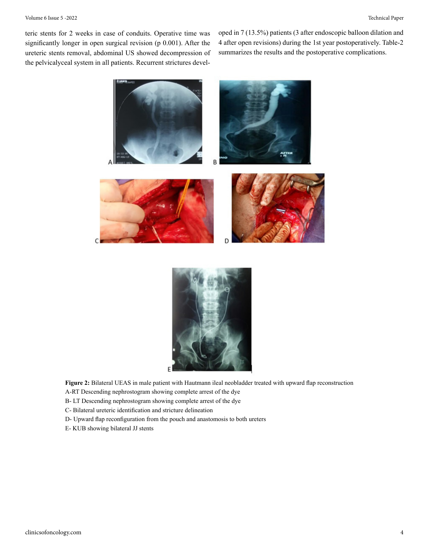#### Volume 6 Issue 5 -2022 Technical Paper

teric stents for 2 weeks in case of conduits. Operative time was significantly longer in open surgical revision (p 0.001). After the ureteric stents removal, abdominal US showed decompression of the pelvicalyceal system in all patients. Recurrent strictures developed in 7 (13.5%) patients (3 after endoscopic balloon dilation and 4 after open revisions) during the 1st year postoperatively. Table-2 summarizes the results and the postoperative complications.





**Figure 2:** Bilateral UEAS in male patient with Hautmann ileal neobladder treated with upward flap reconstruction

A-RT Descending nephrostogram showing complete arrest of the dye

B- LT Descending nephrostogram showing complete arrest of the dye

C- Bilateral ureteric identification and stricture delineation

D- Upward flap reconfiguration from the pouch and anastomosis to both ureters

E- KUB showing bilateral JJ stents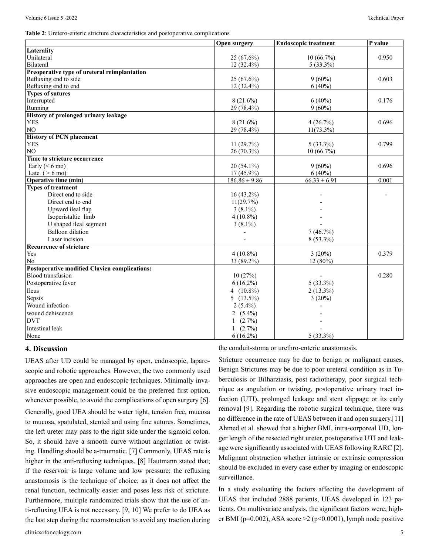**Table 2**: Uretero-enteric stricture characteristics and postoperative complications

|                                               | Open surgery      | <b>Endoscopic treatment</b> | $\overline{P}$ value |
|-----------------------------------------------|-------------------|-----------------------------|----------------------|
| Laterality                                    |                   |                             |                      |
| Unilateral                                    | $25(67.6\%)$      | $10(66.7\%)$                | 0.950                |
| <b>Bilateral</b>                              | $12(32.4\%)$      | $5(33.3\%)$                 |                      |
| Preoperative type of ureteral reimplantation  |                   |                             |                      |
| Refluxing end to side                         | $25(67.6\%)$      | $9(60\%)$                   | 0.603                |
| Refluxing end to end                          | $12(32.4\%)$      | $6(40\%)$                   |                      |
| <b>Types of sutures</b>                       |                   |                             |                      |
| Interrupted                                   | $8(21.6\%)$       | $6(40\%)$                   | 0.176                |
| Running                                       | 29 (78.4%)        | $9(60\%)$                   |                      |
| History of prolonged urinary leakage          |                   |                             |                      |
| <b>YES</b>                                    | $8(21.6\%)$       | 4(26.7%)                    | 0.696                |
| NO                                            | 29 (78.4%)        | $11(73.3\%)$                |                      |
| <b>History of PCN placement</b>               |                   |                             |                      |
| <b>YES</b>                                    | 11(29.7%)         | $5(33.3\%)$                 | 0.799                |
| NO                                            | 26 (70.3%)        | $10(66.7\%)$                |                      |
| Time to stricture occurrence                  |                   |                             |                      |
| Early ( $\leq 6$ mo)                          | $20(54.1\%)$      | $9(60\%)$                   | 0.696                |
| Late $(>6 \text{ mo})$                        | $17(45.9\%)$      | $6(40\%)$                   |                      |
| Operative time (min)                          | $186.86 \pm 9.86$ | $66.33 \pm 6.91$            | 0.001                |
| <b>Types of treatment</b>                     |                   |                             |                      |
| Direct end to side                            | $16(43.2\%)$      |                             |                      |
| Direct end to end                             | 11(29.7%)         |                             |                      |
| Upward ileal flap                             | $3(8.1\%)$        |                             |                      |
| Isoperistaltic limb                           | $4(10.8\%)$       |                             |                      |
| U shaped ileal segment                        | $3(8.1\%)$        |                             |                      |
| <b>Balloon</b> dilation                       |                   | 7(46.7%)                    |                      |
| Laser incision                                |                   | 8 (53.3%)                   |                      |
| <b>Recurrence of stricture</b>                |                   |                             |                      |
| Yes                                           | $4(10.8\%)$       | $3(20\%)$                   | 0.379                |
| N <sub>0</sub>                                | 33 (89.2%)        | $12(80\%)$                  |                      |
| Postoperative modified Clavien complications: |                   |                             |                      |
| <b>Blood</b> transfusion                      | 10(27%)           |                             | 0.280                |
| Postoperative fever                           | $6(16.2\%)$       | $5(33.3\%)$                 |                      |
| Ileus                                         | 4 $(10.8\%)$      | $2(13.3\%)$                 |                      |
| Sepsis                                        | 5 $(13.5\%)$      | $3(20\%)$                   |                      |
| Wound infection                               | $2(5.4\%)$        |                             |                      |
| wound dehiscence                              | 2 $(5.4\%)$       |                             |                      |
| <b>DVT</b>                                    | $1(2.7\%)$        |                             |                      |
| Intestinal leak                               | 1 $(2.7\%)$       |                             |                      |
|                                               |                   |                             |                      |
| None                                          | $6(16.2\%)$       | $5(33.3\%)$                 |                      |

#### **4. Discussion**

UEAS after UD could be managed by open, endoscopic, laparoscopic and robotic approaches. However, the two commonly used approaches are open and endoscopic techniques. Minimally invasive endoscopic management could be the preferred first option, whenever possible, to avoid the complications of open surgery [6]. Generally, good UEA should be water tight, tension free, mucosa to mucosa, spatulated, stented and using fine sutures. Sometimes, the left ureter may pass to the right side under the sigmoid colon. So, it should have a smooth curve without angulation or twisting. Handling should be a-traumatic. [7] Commonly, UEAS rate is higher in the anti-refluxing techniques. [8] Hautmann stated that; if the reservoir is large volume and low pressure; the refluxing anastomosis is the technique of choice; as it does not affect the renal function, technically easier and poses less risk of stricture. Furthermore, multiple randomized trials show that the use of anti-refluxing UEA is not necessary. [9, 10] We prefer to do UEA as

the last step during the reconstruction to avoid any traction during

the conduit-stoma or urethro-enteric anastomosis.

Stricture occurrence may be due to benign or malignant causes. Benign Strictures may be due to poor ureteral condition as in Tuberculosis or Bilharziasis, post radiotherapy, poor surgical technique as angulation or twisting, postoperative urinary tract infection (UTI), prolonged leakage and stent slippage or its early removal [9]. Regarding the robotic surgical technique, there was no difference in the rate of UEAS between it and open surgery.[11] Ahmed et al. showed that a higher BMI, intra-corporeal UD, longer length of the resected right ureter, postoperative UTI and leakage were significantly associated with UEAS following RARC [2]. Malignant obstruction whether intrinsic or extrinsic compression should be excluded in every case either by imaging or endoscopic surveillance.

In a study evaluating the factors affecting the development of UEAS that included 2888 patients, UEAS developed in 123 patients. On multivariate analysis, the significant factors were; higher BMI (p=0.002), ASA score  $\geq$  (p<0.0001), lymph node positive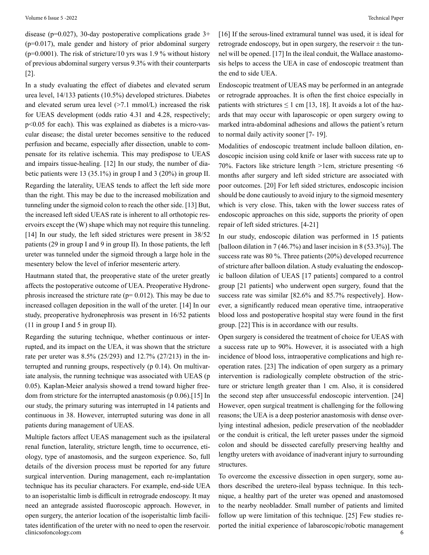disease ( $p=0.027$ ), 30-day postoperative complications grade  $3+$ (p=0.017), male gender and history of prior abdominal surgery ( $p=0.0001$ ). The risk of stricture/10 yrs was 1.9 % without history of previous abdominal surgery versus 9.3% with their counterparts [2].

In a study evaluating the effect of diabetes and elevated serum urea level, 14/133 patients (10.5%) developed strictures. Diabetes and elevated serum urea level  $(>7.1 \text{ mmol/L})$  increased the risk for UEAS development (odds ratio 4.31 and 4.28, respectively; p<0.05 for each). This was explained as diabetes is a micro-vascular disease; the distal ureter becomes sensitive to the reduced perfusion and became, especially after dissection, unable to compensate for its relative ischemia. This may predispose to UEAS and impairs tissue-healing. [12] In our study, the number of diabetic patients were 13 (35.1%) in group I and 3 (20%) in group II. Regarding the laterality, UEAS tends to affect the left side more than the right. This may be due to the increased mobilization and tunneling under the sigmoid colon to reach the other side. [13] But, the increased left sided UEAS rate is inherent to all orthotopic reservoirs except the (W) shape which may not require this tunneling. [14] In our study, the left sided strictures were present in  $38/52$ patients (29 in group I and 9 in group II). In those patients, the left ureter was tunneled under the sigmoid through a large hole in the mesentery below the level of inferior mesenteric artery.

Hautmann stated that, the preoperative state of the ureter greatly affects the postoperative outcome of UEA. Preoperative Hydronephrosis increased the stricture rate ( $p= 0.012$ ). This may be due to increased collagen deposition in the wall of the ureter. [14] In our study, preoperative hydronephrosis was present in 16/52 patients (11 in group I and 5 in group II).

Regarding the suturing technique, whether continuous or interrupted, and its impact on the UEA, it was shown that the stricture rate per ureter was 8.5% (25/293) and 12.7% (27/213) in the interrupted and running groups, respectively (p 0.14). On multivariate analysis, the running technique was associated with UEAS (p 0.05). Kaplan-Meier analysis showed a trend toward higher freedom from stricture for the interrupted anastomosis (p 0.06).[15] In our study, the primary suturing was interrupted in 14 patients and continuous in 38. However, interrupted suturing was done in all patients during management of UEAS.

clinicsofoncology.com 6 Multiple factors affect UEAS management such as the ipsilateral renal function, laterality, stricture length, time to occurrence, etiology, type of anastomosis, and the surgeon experience. So, full details of the diversion process must be reported for any future surgical intervention. During management, each re-implantation technique has its peculiar characters. For example, end-side UEA to an isoperistaltic limb is difficult in retrograde endoscopy. It may need an antegrade assisted fluoroscopic approach. However, in open surgery, the anterior location of the isoperistaltic limb facilitates identification of the ureter with no need to open the reservoir.

[16] If the serous-lined extramural tunnel was used, it is ideal for retrograde endoscopy, but in open surgery, the reservoir  $\pm$  the tunnel will be opened. [17] In the ileal conduit, the Wallace anastomosis helps to access the UEA in case of endoscopic treatment than the end to side UEA.

Endoscopic treatment of UEAS may be performed in an antegrade or retrograde approaches. It is often the first choice especially in patients with strictures  $\leq 1$  cm [13, 18]. It avoids a lot of the hazards that may occur with laparoscopic or open surgery owing to marked intra-abdominal adhesions and allows the patient's return to normal daily activity sooner [7- 19].

Modalities of endoscopic treatment include balloon dilation, endoscopic incision using cold knife or laser with success rate up to 70%. Factors like stricture length >1cm, stricture presenting <6 months after surgery and left sided stricture are associated with poor outcomes. [20] For left sided strictures, endoscopic incision should be done cautiously to avoid injury to the sigmoid mesentery which is very close. This, taken with the lower success rates of endoscopic approaches on this side, supports the priority of open repair of left sided strictures. [4-21]

In our study, endoscopic dilation was performed in 15 patients [balloon dilation in 7 (46.7%) and laser incision in 8 (53.3%)]. The success rate was 80 %. Three patients (20%) developed recurrence of stricture after balloon dilation. A study evaluating the endoscopic balloon dilation of UEAS [17 patients] compared to a control group [21 patients] who underwent open surgery, found that the success rate was similar [82.6% and 85.7% respectively]. However, a significantly reduced mean operative time, intraoperative blood loss and postoperative hospital stay were found in the first group. [22] This is in accordance with our results.

Open surgery is considered the treatment of choice for UEAS with a success rate up to 90%. However, it is associated with a high incidence of blood loss, intraoperative complications and high reoperation rates. [23] The indication of open surgery as a primary intervention is radiologically complete obstruction of the stricture or stricture length greater than 1 cm. Also, it is considered the second step after unsuccessful endoscopic intervention. [24] However, open surgical treatment is challenging for the following reasons; the UEA is a deep posterior anastomosis with dense overlying intestinal adhesion, pedicle preservation of the neobladder or the conduit is critical, the left ureter passes under the sigmoid colon and should be dissected carefully preserving healthy and lengthy ureters with avoidance of inadverant injury to surrounding structures.

To overcome the excessive dissection in open surgery, some authors described the uretero-ileal bypass technique. In this technique, a healthy part of the ureter was opened and anastomosed to the nearby neobladder. Small number of patients and limited follow up were limitation of this technique. [25] Few studies reported the initial experience of labaroscopic/robotic management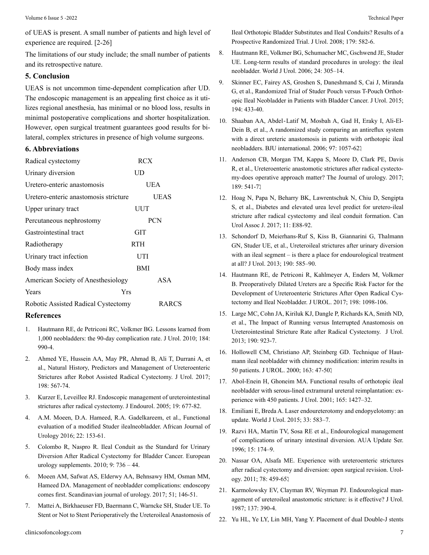of UEAS is present. A small number of patients and high level of experience are required. [2-26]

The limitations of our study include; the small number of patients and its retrospective nature.

#### **5. Conclusion**

UEAS is not uncommon time-dependent complication after UD. The endoscopic management is an appealing first choice as it utilizes regional anesthesia, has minimal or no blood loss, results in minimal postoperative complications and shorter hospitalization. However, open surgical treatment guarantees good results for bilateral, complex strictures in presence of high volume surgeons.

#### **6. Abbreviations**

| Radical cystectomy                    | <b>RCX</b>   |
|---------------------------------------|--------------|
| Urinary diversion                     | UD           |
| Uretero-enteric anastomosis           | UEA          |
| Uretero-enteric anastomosis stricture | UEAS         |
| Upper urinary tract                   | UUT          |
| Percutaneous nephrostomy              | <b>PCN</b>   |
| Gastrointestinal tract                | GIT          |
| Radiotherapy                          | <b>RTH</b>   |
| Urinary tract infection               | UTI          |
| Body mass index                       | BMI          |
| American Society of Anesthesiology    | ASA          |
| Yrs<br>Years                          |              |
| Robotic Assisted Radical Cystectomy   | <b>RARCS</b> |

#### **References**

- 1. [Hautmann RE, de Petriconi RC, Volkmer BG. Lessons learned from](https://pubmed.ncbi.nlm.nih.gov/20643429/) [1,000 neobladders: the 90-day complication rate. J Urol. 2010; 184:](https://pubmed.ncbi.nlm.nih.gov/20643429/)  [990-4.](https://pubmed.ncbi.nlm.nih.gov/20643429/)
- 2. [Ahmed YE, Hussein AA, May PR, Ahmad B, Ali T, Durrani A, et](https://pubmed.ncbi.nlm.nih.gov/28257782/)  [al., Natural History, Predictors and Management of Ureteroenteric](https://pubmed.ncbi.nlm.nih.gov/28257782/) [Strictures after Robot Assisted Radical Cystectomy. J Urol. 2017;](https://pubmed.ncbi.nlm.nih.gov/28257782/) [198: 567-74.](https://pubmed.ncbi.nlm.nih.gov/28257782/)
- 3. [Kurzer E, Leveillee RJ. Endoscopic management of ureterointestinal](https://pubmed.ncbi.nlm.nih.gov/16053356/) [strictures after radical cystectomy. J Endourol. 2005; 19: 677-82.](https://pubmed.ncbi.nlm.nih.gov/16053356/)
- 4. [A.M. Moeen, D.A. Hameed, R.A. Gadelkareem, et al., Functional](https://www.sciencedirect.com/science/article/pii/S1110570416300777)  [evaluation of a modified Studer ilealneobladder. African Journal of](https://www.sciencedirect.com/science/article/pii/S1110570416300777)  [Urology 2016; 22: 153-61.](https://www.sciencedirect.com/science/article/pii/S1110570416300777)
- 5. [Colombo R, Naspro R. Ileal Conduit as the Standard for Urinary](https://www.sciencedirect.com/science/article/abs/pii/S1569905610001168)  [Diversion After Radical Cystectomy for Bladder Cancer. European](https://www.sciencedirect.com/science/article/abs/pii/S1569905610001168) [urology supplements. 2010; 9: 736 – 44.](https://www.sciencedirect.com/science/article/abs/pii/S1569905610001168)
- 6. [Moeen AM, Safwat AS, Elderwy AA, Behnsawy HM, Osman MM,](https://pubmed.ncbi.nlm.nih.gov/28635567/)  [Hameed DA. Management of neobladder complications: endoscopy](https://pubmed.ncbi.nlm.nih.gov/28635567/) [comes first. Scandinavian journal of urology. 2017; 51; 146-51.](https://pubmed.ncbi.nlm.nih.gov/28635567/)
- 7. [Mattei A, Birkhaeuser FD, Baermann C, Warncke SH, Studer UE. To](https://pubmed.ncbi.nlm.nih.gov/18078958/)  [Stent or Not to Stent Perioperatively the Ureteroileal Anastomosis of](https://pubmed.ncbi.nlm.nih.gov/18078958/)

[Ileal Orthotopic Bladder Substitutes and Ileal Conduits? Results of a](https://pubmed.ncbi.nlm.nih.gov/18078958/) [Prospective Randomized Trial. J Urol. 2008; 179: 582-6.](https://pubmed.ncbi.nlm.nih.gov/18078958/)

- 8. [Hautmann RE, Volkmer BG, Schumacher MC, Gschwend JE, Studer](https://pubmed.ncbi.nlm.nih.gov/16830152/)  [UE. Long-term results of standard procedures in urology: the ileal](https://pubmed.ncbi.nlm.nih.gov/16830152/) [neobladder. World J Urol. 2006; 24: 305–14.](https://pubmed.ncbi.nlm.nih.gov/16830152/)
- 9. [Skinner EC, Fairey AS, Groshen S, Daneshmand S, Cai J, Miranda](https://pubmed.ncbi.nlm.nih.gov/25823791/)  [G, et al., Randomized Trial of Studer Pouch versus T-Pouch Orthot](https://pubmed.ncbi.nlm.nih.gov/25823791/)[opic Ileal Neobladder in Patients with Bladder Cancer. J Urol. 2015;](https://pubmed.ncbi.nlm.nih.gov/25823791/) [194: 433-40.](https://pubmed.ncbi.nlm.nih.gov/25823791/)
- 10. Shaaban AA, Abdel‐[Latif M, Mosbah A, Gad H, Eraky I, Ali-El-](https://pubmed.ncbi.nlm.nih.gov/16643492/)[Dein B, et al., A randomized study comparing an antireflux system](https://pubmed.ncbi.nlm.nih.gov/16643492/) [with a direct ureteric anastomosis in patients with orthotopic ileal](https://pubmed.ncbi.nlm.nih.gov/16643492/) [neobladders. BJU international. 2006; 97: 1057-62.](https://pubmed.ncbi.nlm.nih.gov/16643492/)
- 11. [Anderson CB, Morgan TM, Kappa S, Moore D, Clark PE, Davis](https://pubmed.ncbi.nlm.nih.gov/23260561/) [R, et al., Ureteroenteric anastomotic strictures after radical cystecto](https://pubmed.ncbi.nlm.nih.gov/23260561/)[my-does operative approach matter? The Journal of urology. 2017;](https://pubmed.ncbi.nlm.nih.gov/23260561/) 189: 541-71
- 12. [Hoag N, Papa N, Beharry BK, Lawrentschuk N, Chiu D, Sengipta](https://pubmed.ncbi.nlm.nih.gov/28360953/) [S, et al., Diabetes and elevated urea level predict for uretero-ileal](https://pubmed.ncbi.nlm.nih.gov/28360953/) [stricture after radical cystectomy and ileal conduit formation. Can](https://pubmed.ncbi.nlm.nih.gov/28360953/) [Urol Assoc J. 2017; 11: E88-92.](https://pubmed.ncbi.nlm.nih.gov/28360953/)
- 13. [Schondorf D, Meierhans-Ruf S, Kiss B, Giannarini G, Thalmann](https://pubmed.ncbi.nlm.nih.gov/23454401/)  [GN, Studer UE, et al., Ureteroileal strictures after urinary diversion](https://pubmed.ncbi.nlm.nih.gov/23454401/) [with an ileal segment – is there a place for endourological treatment](https://pubmed.ncbi.nlm.nih.gov/23454401/) [at all? J Urol. 2013; 190: 585–90.](https://pubmed.ncbi.nlm.nih.gov/23454401/)
- 14. [Hautmann RE, de Petriconi R, Kahlmeyer A, Enders M, Volkmer](https://pubmed.ncbi.nlm.nih.gov/28536083/) [B. Preoperatively Dilated Ureters are a Specific Risk Factor for the](https://pubmed.ncbi.nlm.nih.gov/28536083/) [Development of Ureteroenteric Strictures After Open Radical Cys](https://pubmed.ncbi.nlm.nih.gov/28536083/)[tectomy and Ileal Neobladder. J UROL. 2017; 198: 1098-106.](https://pubmed.ncbi.nlm.nih.gov/28536083/)
- 15. [Large MC, Cohn JA, Kiriluk KJ, Dangle P, Richards KA, Smith ND,](https://pubmed.ncbi.nlm.nih.gov/23454159/) [et al., The Impact of Running versus Interrupted Anastomosis on](https://pubmed.ncbi.nlm.nih.gov/23454159/) [Ureterointestinal Stricture Rate after Radical Cystectomy. J Urol.](https://pubmed.ncbi.nlm.nih.gov/23454159/) [2013; 190: 923-7.](https://pubmed.ncbi.nlm.nih.gov/23454159/)
- 16. [Hollowell CM, Christiano AP, Steinberg GD. Technique of Haut](https://pubmed.ncbi.nlm.nih.gov/10604311/)[mann ileal neobladder with chimney modification: interim results in](https://pubmed.ncbi.nlm.nih.gov/10604311/) [50 patients. J UROL. 2000; 163: 47-50.](https://pubmed.ncbi.nlm.nih.gov/10604311/)
- 17. [Abol-Enein H, Ghoneim MA. Functional results of orthotopic ileal](https://pubmed.ncbi.nlm.nih.gov/11342891/) [neobladder with serous-lined extramural ureteral reimplantation: ex](https://pubmed.ncbi.nlm.nih.gov/11342891/)[perience with 450 patients. J Urol. 2001; 165: 1427–32.](https://pubmed.ncbi.nlm.nih.gov/11342891/)
- 18. [Emiliani E, Breda A. Laser endoureterotomy and endopyelotomy: an](https://pubmed.ncbi.nlm.nih.gov/25246158/) [update. World J Urol. 2015; 33: 583–7.](https://pubmed.ncbi.nlm.nih.gov/25246158/)
- 19. Razvi HA, Martin TV, Sosa RE et al., Endourological management of complications of urinary intestinal diversion. AUA Update Ser. 1996; 15: 174–9.
- 20. [Nassar OA, Alsafa ME. Experience with ureteroenteric strictures](https://pubmed.ncbi.nlm.nih.gov/21492915/)  [after radical cystectomy and diversion: open surgical revision. Urol](https://pubmed.ncbi.nlm.nih.gov/21492915/)[ogy. 2011; 78: 459-65.](https://pubmed.ncbi.nlm.nih.gov/21492915/)
- 21. [Karmolowsky EV, Clayman RV, Weyman PJ. Endourological man](https://www.sciencedirect.com/science/article/abs/pii/S0022534717440444)[agement of ureteroileal anastomotic stricture: is it effective? J Urol.](https://www.sciencedirect.com/science/article/abs/pii/S0022534717440444) [1987; 137: 390-4.](https://www.sciencedirect.com/science/article/abs/pii/S0022534717440444)
- 22. [Yu HL, Ye LY, Lin MH, Yang Y. Placement of dual Double-J stents](https://www.semanticscholar.org/paper/%5BPlacement-of-dual-double-J-stents-following-for-of-Yu-Ye/faee5176e5e8b4e94f1036c61935f4fc79d229f7)